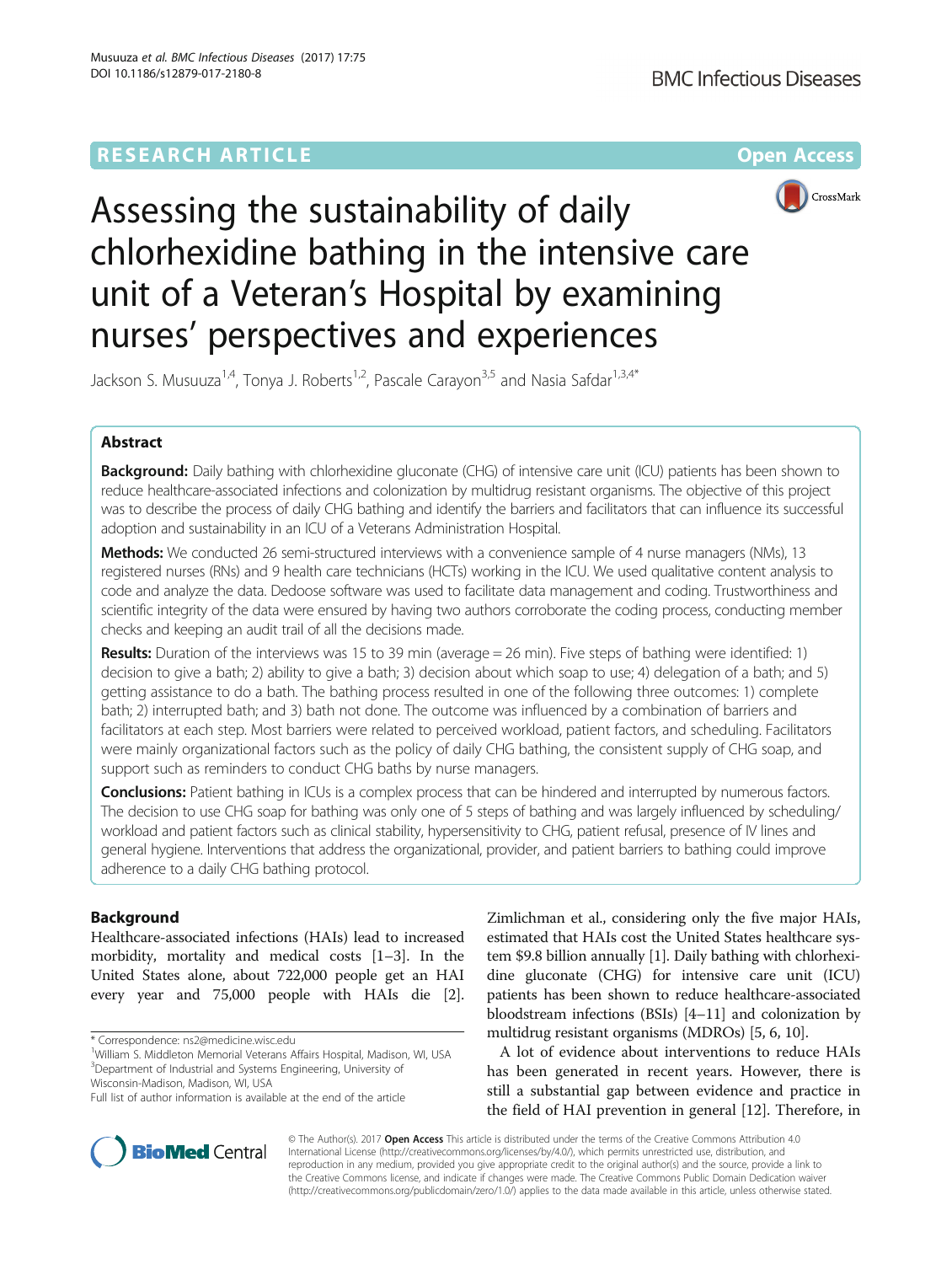## **RESEARCH ARTICLE External Structure Community Community Community Community Community Community Community Community**



# Assessing the sustainability of daily chlorhexidine bathing in the intensive care unit of a Veteran's Hospital by examining nurses' perspectives and experiences

Jackson S. Musuuza<sup>1,4</sup>, Tonya J. Roberts<sup>1,2</sup>, Pascale Carayon<sup>3,5</sup> and Nasia Safdar<sup>1,3,4\*</sup>

## Abstract

**Background:** Daily bathing with chlorhexidine gluconate (CHG) of intensive care unit (ICU) patients has been shown to reduce healthcare-associated infections and colonization by multidrug resistant organisms. The objective of this project was to describe the process of daily CHG bathing and identify the barriers and facilitators that can influence its successful adoption and sustainability in an ICU of a Veterans Administration Hospital.

Methods: We conducted 26 semi-structured interviews with a convenience sample of 4 nurse managers (NMs), 13 registered nurses (RNs) and 9 health care technicians (HCTs) working in the ICU. We used qualitative content analysis to code and analyze the data. Dedoose software was used to facilitate data management and coding. Trustworthiness and scientific integrity of the data were ensured by having two authors corroborate the coding process, conducting member checks and keeping an audit trail of all the decisions made.

Results: Duration of the interviews was 15 to 39 min (average = 26 min). Five steps of bathing were identified: 1) decision to give a bath; 2) ability to give a bath; 3) decision about which soap to use; 4) delegation of a bath; and 5) getting assistance to do a bath. The bathing process resulted in one of the following three outcomes: 1) complete bath; 2) interrupted bath; and 3) bath not done. The outcome was influenced by a combination of barriers and facilitators at each step. Most barriers were related to perceived workload, patient factors, and scheduling. Facilitators were mainly organizational factors such as the policy of daily CHG bathing, the consistent supply of CHG soap, and support such as reminders to conduct CHG baths by nurse managers.

Conclusions: Patient bathing in ICUs is a complex process that can be hindered and interrupted by numerous factors. The decision to use CHG soap for bathing was only one of 5 steps of bathing and was largely influenced by scheduling/ workload and patient factors such as clinical stability, hypersensitivity to CHG, patient refusal, presence of IV lines and general hygiene. Interventions that address the organizational, provider, and patient barriers to bathing could improve adherence to a daily CHG bathing protocol.

## Background

Healthcare-associated infections (HAIs) lead to increased morbidity, mortality and medical costs [[1](#page-9-0)–[3](#page-9-0)]. In the United States alone, about 722,000 people get an HAI every year and 75,000 people with HAIs die [[2](#page-9-0)].

\* Correspondence: [ns2@medicine.wisc.edu](mailto:ns2@medicine.wisc.edu) <sup>1</sup>

<sup>1</sup>William S. Middleton Memorial Veterans Affairs Hospital, Madison, WI, USA <sup>3</sup>Department of Industrial and Systems Engineering, University of

Wisconsin-Madison, Madison, WI, USA

Zimlichman et al., considering only the five major HAIs, estimated that HAIs cost the United States healthcare system \$9.8 billion annually [\[1](#page-9-0)]. Daily bathing with chlorhexidine gluconate (CHG) for intensive care unit (ICU) patients has been shown to reduce healthcare-associated bloodstream infections (BSIs) [\[4](#page-9-0)–[11](#page-9-0)] and colonization by multidrug resistant organisms (MDROs) [\[5, 6](#page-9-0), [10\]](#page-9-0).

A lot of evidence about interventions to reduce HAIs has been generated in recent years. However, there is still a substantial gap between evidence and practice in the field of HAI prevention in general [[12\]](#page-9-0). Therefore, in



© The Author(s). 2017 **Open Access** This article is distributed under the terms of the Creative Commons Attribution 4.0 International License [\(http://creativecommons.org/licenses/by/4.0/](http://creativecommons.org/licenses/by/4.0/)), which permits unrestricted use, distribution, and reproduction in any medium, provided you give appropriate credit to the original author(s) and the source, provide a link to the Creative Commons license, and indicate if changes were made. The Creative Commons Public Domain Dedication waiver [\(http://creativecommons.org/publicdomain/zero/1.0/](http://creativecommons.org/publicdomain/zero/1.0/)) applies to the data made available in this article, unless otherwise stated.

Full list of author information is available at the end of the article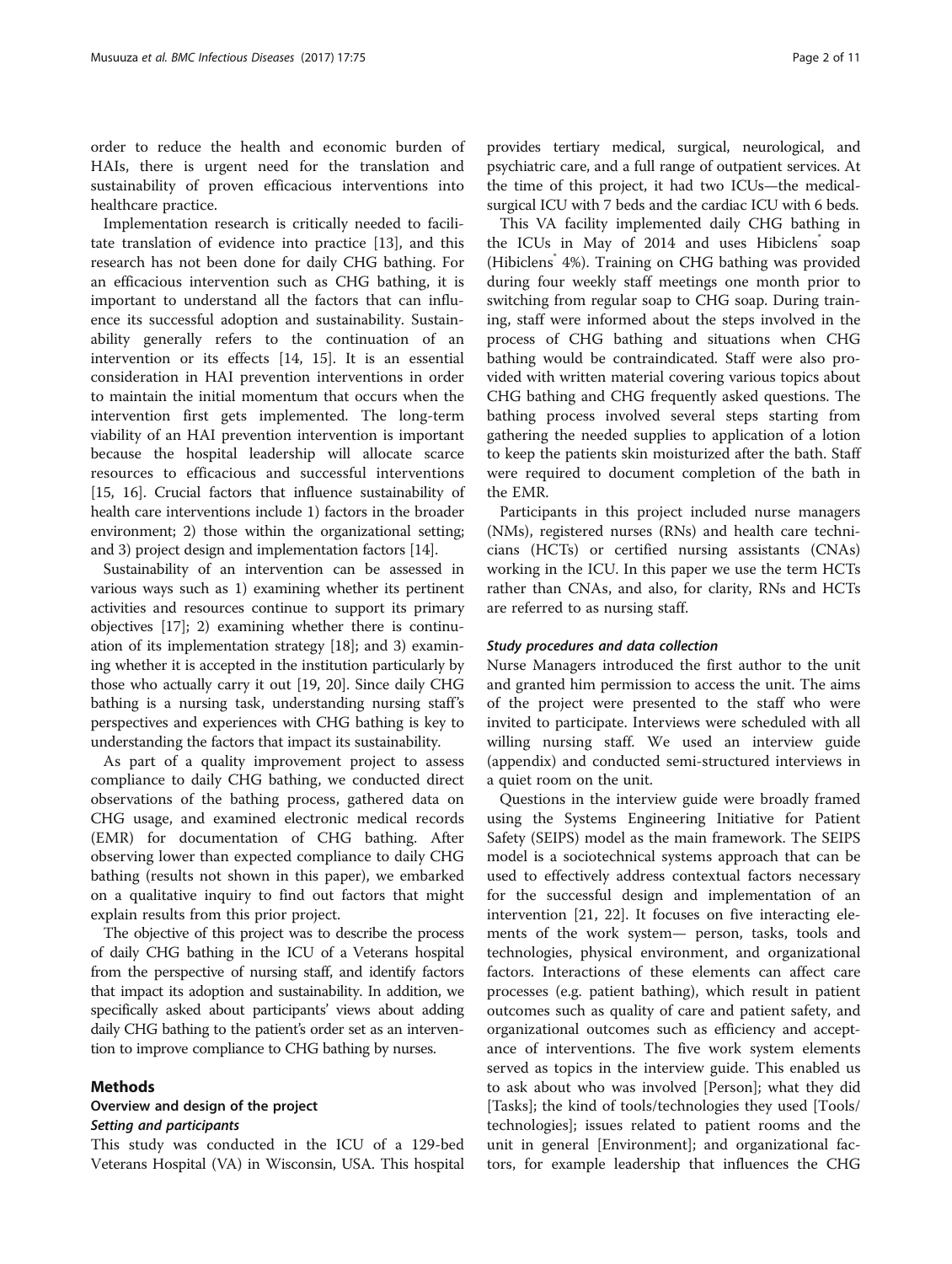order to reduce the health and economic burden of HAIs, there is urgent need for the translation and sustainability of proven efficacious interventions into healthcare practice.

Implementation research is critically needed to facilitate translation of evidence into practice [[13\]](#page-9-0), and this research has not been done for daily CHG bathing. For an efficacious intervention such as CHG bathing, it is important to understand all the factors that can influence its successful adoption and sustainability. Sustainability generally refers to the continuation of an intervention or its effects [[14](#page-9-0), [15](#page-9-0)]. It is an essential consideration in HAI prevention interventions in order to maintain the initial momentum that occurs when the intervention first gets implemented. The long-term viability of an HAI prevention intervention is important because the hospital leadership will allocate scarce resources to efficacious and successful interventions [[15](#page-9-0), [16](#page-9-0)]. Crucial factors that influence sustainability of health care interventions include 1) factors in the broader environment; 2) those within the organizational setting; and 3) project design and implementation factors [\[14](#page-9-0)].

Sustainability of an intervention can be assessed in various ways such as 1) examining whether its pertinent activities and resources continue to support its primary objectives [[17](#page-9-0)]; 2) examining whether there is continuation of its implementation strategy [[18](#page-9-0)]; and 3) examining whether it is accepted in the institution particularly by those who actually carry it out [[19](#page-9-0), [20\]](#page-9-0). Since daily CHG bathing is a nursing task, understanding nursing staff's perspectives and experiences with CHG bathing is key to understanding the factors that impact its sustainability.

As part of a quality improvement project to assess compliance to daily CHG bathing, we conducted direct observations of the bathing process, gathered data on CHG usage, and examined electronic medical records (EMR) for documentation of CHG bathing. After observing lower than expected compliance to daily CHG bathing (results not shown in this paper), we embarked on a qualitative inquiry to find out factors that might explain results from this prior project.

The objective of this project was to describe the process of daily CHG bathing in the ICU of a Veterans hospital from the perspective of nursing staff, and identify factors that impact its adoption and sustainability. In addition, we specifically asked about participants' views about adding daily CHG bathing to the patient's order set as an intervention to improve compliance to CHG bathing by nurses.

#### Methods

## Overview and design of the project Setting and participants

This study was conducted in the ICU of a 129-bed Veterans Hospital (VA) in Wisconsin, USA. This hospital provides tertiary medical, surgical, neurological, and psychiatric care, and a full range of outpatient services. At the time of this project, it had two ICUs—the medicalsurgical ICU with 7 beds and the cardiac ICU with 6 beds.

This VA facility implemented daily CHG bathing in the ICUs in May of 2014 and uses Hibiclens<sup>®</sup> soap (Hibiclens<sup>®</sup> 4%). Training on CHG bathing was provided during four weekly staff meetings one month prior to switching from regular soap to CHG soap. During training, staff were informed about the steps involved in the process of CHG bathing and situations when CHG bathing would be contraindicated. Staff were also provided with written material covering various topics about CHG bathing and CHG frequently asked questions. The bathing process involved several steps starting from gathering the needed supplies to application of a lotion to keep the patients skin moisturized after the bath. Staff were required to document completion of the bath in the EMR.

Participants in this project included nurse managers (NMs), registered nurses (RNs) and health care technicians (HCTs) or certified nursing assistants (CNAs) working in the ICU. In this paper we use the term HCTs rather than CNAs, and also, for clarity, RNs and HCTs are referred to as nursing staff.

#### Study procedures and data collection

Nurse Managers introduced the first author to the unit and granted him permission to access the unit. The aims of the project were presented to the staff who were invited to participate. Interviews were scheduled with all willing nursing staff. We used an interview guide (appendix) and conducted semi-structured interviews in a quiet room on the unit.

Questions in the interview guide were broadly framed using the Systems Engineering Initiative for Patient Safety (SEIPS) model as the main framework. The SEIPS model is a sociotechnical systems approach that can be used to effectively address contextual factors necessary for the successful design and implementation of an intervention [\[21,](#page-9-0) [22](#page-10-0)]. It focuses on five interacting elements of the work system— person, tasks, tools and technologies, physical environment, and organizational factors. Interactions of these elements can affect care processes (e.g. patient bathing), which result in patient outcomes such as quality of care and patient safety, and organizational outcomes such as efficiency and acceptance of interventions. The five work system elements served as topics in the interview guide. This enabled us to ask about who was involved [Person]; what they did [Tasks]; the kind of tools/technologies they used [Tools/ technologies]; issues related to patient rooms and the unit in general [Environment]; and organizational factors, for example leadership that influences the CHG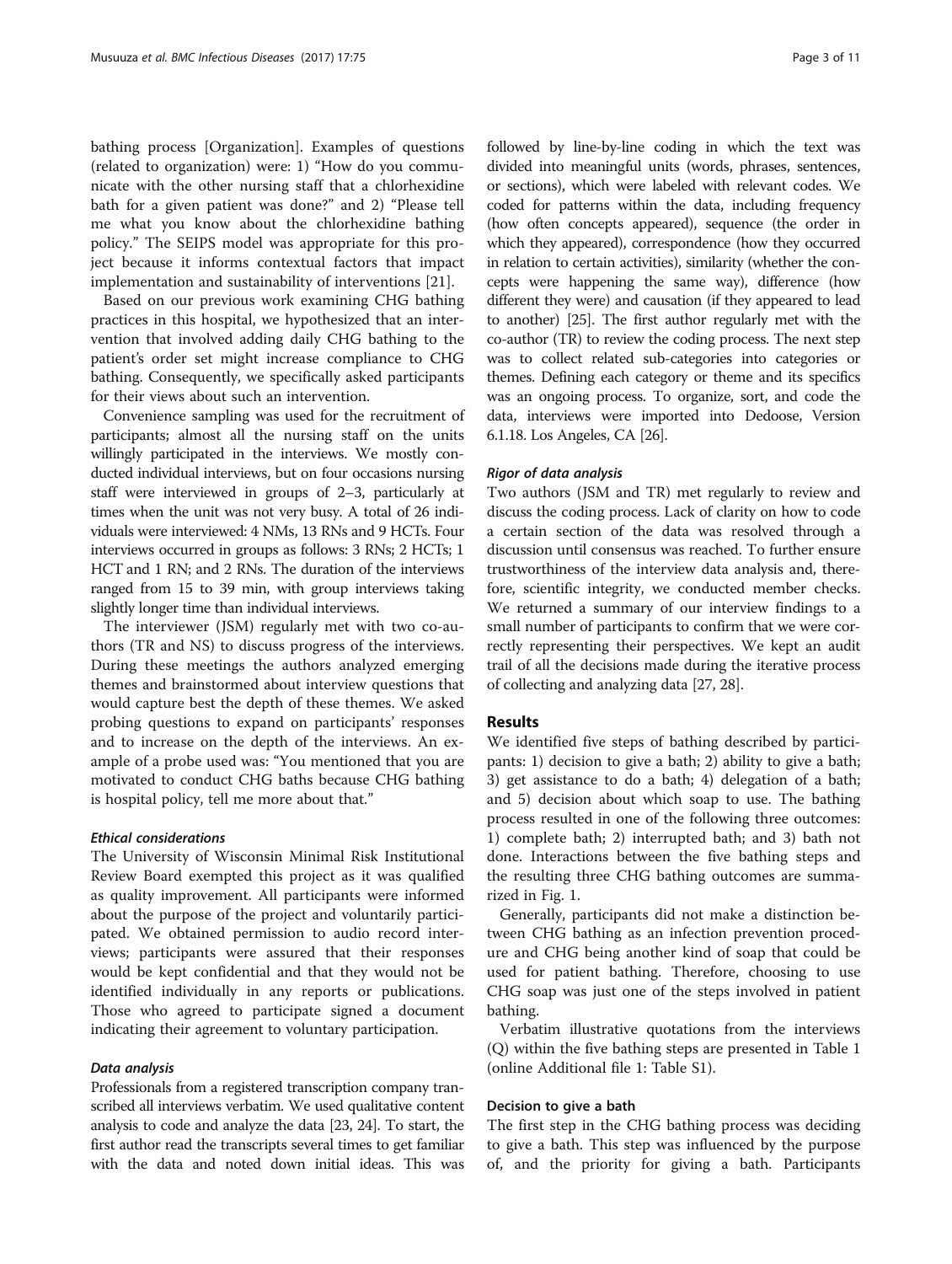bathing process [Organization]. Examples of questions (related to organization) were: 1) "How do you communicate with the other nursing staff that a chlorhexidine bath for a given patient was done?" and 2) "Please tell me what you know about the chlorhexidine bathing policy." The SEIPS model was appropriate for this project because it informs contextual factors that impact implementation and sustainability of interventions [\[21](#page-9-0)].

Based on our previous work examining CHG bathing practices in this hospital, we hypothesized that an intervention that involved adding daily CHG bathing to the patient's order set might increase compliance to CHG bathing. Consequently, we specifically asked participants for their views about such an intervention.

Convenience sampling was used for the recruitment of participants; almost all the nursing staff on the units willingly participated in the interviews. We mostly conducted individual interviews, but on four occasions nursing staff were interviewed in groups of 2–3, particularly at times when the unit was not very busy. A total of 26 individuals were interviewed: 4 NMs, 13 RNs and 9 HCTs. Four interviews occurred in groups as follows: 3 RNs; 2 HCTs; 1 HCT and 1 RN; and 2 RNs. The duration of the interviews ranged from 15 to 39 min, with group interviews taking slightly longer time than individual interviews.

The interviewer (JSM) regularly met with two co-authors (TR and NS) to discuss progress of the interviews. During these meetings the authors analyzed emerging themes and brainstormed about interview questions that would capture best the depth of these themes. We asked probing questions to expand on participants' responses and to increase on the depth of the interviews. An example of a probe used was: "You mentioned that you are motivated to conduct CHG baths because CHG bathing is hospital policy, tell me more about that."

#### Ethical considerations

The University of Wisconsin Minimal Risk Institutional Review Board exempted this project as it was qualified as quality improvement. All participants were informed about the purpose of the project and voluntarily participated. We obtained permission to audio record interviews; participants were assured that their responses would be kept confidential and that they would not be identified individually in any reports or publications. Those who agreed to participate signed a document indicating their agreement to voluntary participation.

#### Data analysis

Professionals from a registered transcription company transcribed all interviews verbatim. We used qualitative content analysis to code and analyze the data [\[23, 24](#page-10-0)]. To start, the first author read the transcripts several times to get familiar with the data and noted down initial ideas. This was followed by line-by-line coding in which the text was divided into meaningful units (words, phrases, sentences, or sections), which were labeled with relevant codes. We coded for patterns within the data, including frequency (how often concepts appeared), sequence (the order in which they appeared), correspondence (how they occurred in relation to certain activities), similarity (whether the concepts were happening the same way), difference (how different they were) and causation (if they appeared to lead to another) [[25](#page-10-0)]. The first author regularly met with the co-author (TR) to review the coding process. The next step was to collect related sub-categories into categories or themes. Defining each category or theme and its specifics was an ongoing process. To organize, sort, and code the data, interviews were imported into Dedoose, Version 6.1.18. Los Angeles, CA [\[26\]](#page-10-0).

#### Rigor of data analysis

Two authors (JSM and TR) met regularly to review and discuss the coding process. Lack of clarity on how to code a certain section of the data was resolved through a discussion until consensus was reached. To further ensure trustworthiness of the interview data analysis and, therefore, scientific integrity, we conducted member checks. We returned a summary of our interview findings to a small number of participants to confirm that we were correctly representing their perspectives. We kept an audit trail of all the decisions made during the iterative process of collecting and analyzing data [\[27, 28](#page-10-0)].

## Results

We identified five steps of bathing described by participants: 1) decision to give a bath; 2) ability to give a bath; 3) get assistance to do a bath; 4) delegation of a bath; and 5) decision about which soap to use. The bathing process resulted in one of the following three outcomes: 1) complete bath; 2) interrupted bath; and 3) bath not done. Interactions between the five bathing steps and the resulting three CHG bathing outcomes are summarized in Fig. [1](#page-3-0).

Generally, participants did not make a distinction between CHG bathing as an infection prevention procedure and CHG being another kind of soap that could be used for patient bathing. Therefore, choosing to use CHG soap was just one of the steps involved in patient bathing.

Verbatim illustrative quotations from the interviews (Q) within the five bathing steps are presented in Table [1](#page-4-0) (online Additional file [1:](#page-9-0) Table S1).

#### Decision to give a bath

The first step in the CHG bathing process was deciding to give a bath. This step was influenced by the purpose of, and the priority for giving a bath. Participants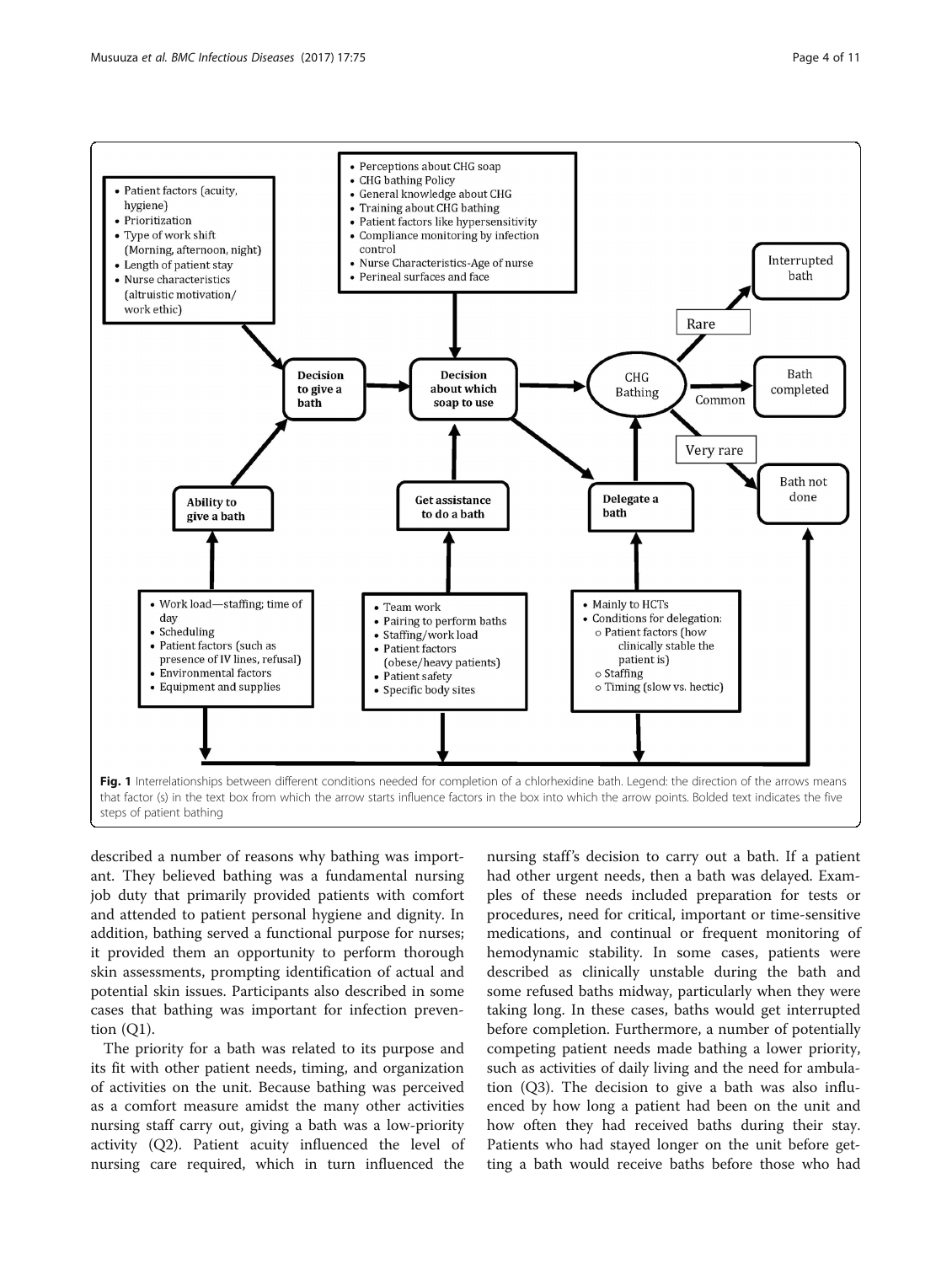

<span id="page-3-0"></span>

described a number of reasons why bathing was important. They believed bathing was a fundamental nursing job duty that primarily provided patients with comfort and attended to patient personal hygiene and dignity. In addition, bathing served a functional purpose for nurses; it provided them an opportunity to perform thorough skin assessments, prompting identification of actual and potential skin issues. Participants also described in some cases that bathing was important for infection prevention  $(Q1)$ .

The priority for a bath was related to its purpose and its fit with other patient needs, timing, and organization of activities on the unit. Because bathing was perceived as a comfort measure amidst the many other activities nursing staff carry out, giving a bath was a low-priority activity (Q2). Patient acuity influenced the level of nursing care required, which in turn influenced the

nursing staff's decision to carry out a bath. If a patient had other urgent needs, then a bath was delayed. Examples of these needs included preparation for tests or procedures, need for critical, important or time-sensitive medications, and continual or frequent monitoring of hemodynamic stability. In some cases, patients were described as clinically unstable during the bath and some refused baths midway, particularly when they were taking long. In these cases, baths would get interrupted before completion. Furthermore, a number of potentially competing patient needs made bathing a lower priority, such as activities of daily living and the need for ambulation (Q3). The decision to give a bath was also influenced by how long a patient had been on the unit and how often they had received baths during their stay. Patients who had stayed longer on the unit before getting a bath would receive baths before those who had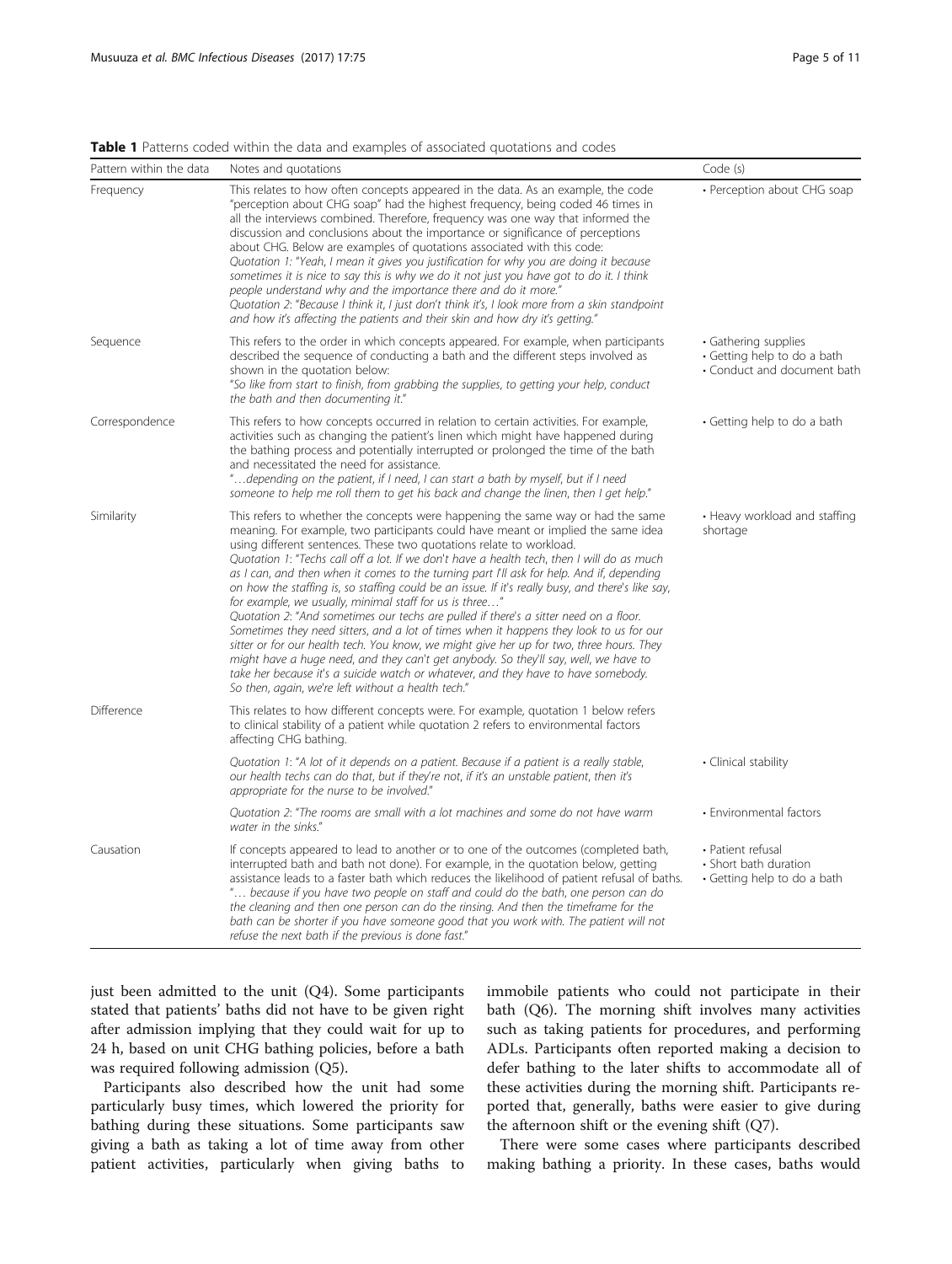| Pattern within the data | Notes and quotations                                                                                                                                                                                                                                                                                                                                                                                                                                                                                                                                                                                                                                                                                                                                                                                                                                                                                                                                                                                                                                                                                                      | Code (s)                                                                           |
|-------------------------|---------------------------------------------------------------------------------------------------------------------------------------------------------------------------------------------------------------------------------------------------------------------------------------------------------------------------------------------------------------------------------------------------------------------------------------------------------------------------------------------------------------------------------------------------------------------------------------------------------------------------------------------------------------------------------------------------------------------------------------------------------------------------------------------------------------------------------------------------------------------------------------------------------------------------------------------------------------------------------------------------------------------------------------------------------------------------------------------------------------------------|------------------------------------------------------------------------------------|
| Frequency               | This relates to how often concepts appeared in the data. As an example, the code<br>"perception about CHG soap" had the highest frequency, being coded 46 times in<br>all the interviews combined. Therefore, frequency was one way that informed the<br>discussion and conclusions about the importance or significance of perceptions<br>about CHG. Below are examples of quotations associated with this code:<br>Quotation 1: "Yeah, I mean it gives you justification for why you are doing it because<br>sometimes it is nice to say this is why we do it not just you have got to do it. I think<br>people understand why and the importance there and do it more."<br>Quotation 2: "Because I think it, I just don't think it's, I look more from a skin standpoint<br>and how it's affecting the patients and their skin and how dry it's getting."                                                                                                                                                                                                                                                              | • Perception about CHG soap                                                        |
| Sequence                | This refers to the order in which concepts appeared. For example, when participants<br>described the sequence of conducting a bath and the different steps involved as<br>shown in the quotation below:<br>"So like from start to finish, from grabbing the supplies, to getting your help, conduct<br>the bath and then documenting it."                                                                                                                                                                                                                                                                                                                                                                                                                                                                                                                                                                                                                                                                                                                                                                                 | • Gathering supplies<br>• Getting help to do a bath<br>• Conduct and document bath |
| Correspondence          | This refers to how concepts occurred in relation to certain activities. For example,<br>activities such as changing the patient's linen which might have happened during<br>the bathing process and potentially interrupted or prolonged the time of the bath<br>and necessitated the need for assistance.<br>"depending on the patient, if I need, I can start a bath by myself, but if I need<br>someone to help me roll them to get his back and change the linen, then I get help."                                                                                                                                                                                                                                                                                                                                                                                                                                                                                                                                                                                                                                   | • Getting help to do a bath                                                        |
| Similarity              | This refers to whether the concepts were happening the same way or had the same<br>meaning. For example, two participants could have meant or implied the same idea<br>using different sentences. These two quotations relate to workload.<br>Quotation 1: "Techs call off a lot. If we don't have a health tech, then I will do as much<br>as I can, and then when it comes to the turning part I'll ask for help. And if, depending<br>on how the staffing is, so staffing could be an issue. If it's really busy, and there's like say,<br>for example, we usually, minimal staff for us is three"<br>Quotation 2: "And sometimes our techs are pulled if there's a sitter need on a floor.<br>Sometimes they need sitters, and a lot of times when it happens they look to us for our<br>sitter or for our health tech. You know, we might give her up for two, three hours. They<br>might have a huge need, and they can't get anybody. So they'll say, well, we have to<br>take her because it's a suicide watch or whatever, and they have to have somebody.<br>So then, again, we're left without a health tech." | • Heavy workload and staffing<br>shortage                                          |
| Difference              | This relates to how different concepts were. For example, quotation 1 below refers<br>to clinical stability of a patient while quotation 2 refers to environmental factors<br>affecting CHG bathing.                                                                                                                                                                                                                                                                                                                                                                                                                                                                                                                                                                                                                                                                                                                                                                                                                                                                                                                      |                                                                                    |
|                         | Quotation 1: "A lot of it depends on a patient. Because if a patient is a really stable,<br>our health techs can do that, but if they're not, if it's an unstable patient, then it's<br>appropriate for the nurse to be involved."                                                                                                                                                                                                                                                                                                                                                                                                                                                                                                                                                                                                                                                                                                                                                                                                                                                                                        | • Clinical stability                                                               |
|                         | Quotation 2: "The rooms are small with a lot machines and some do not have warm<br>water in the sinks."                                                                                                                                                                                                                                                                                                                                                                                                                                                                                                                                                                                                                                                                                                                                                                                                                                                                                                                                                                                                                   | • Environmental factors                                                            |
| Causation               | If concepts appeared to lead to another or to one of the outcomes (completed bath,<br>interrupted bath and bath not done). For example, in the quotation below, getting<br>assistance leads to a faster bath which reduces the likelihood of patient refusal of baths.<br>" because if you have two people on staff and could do the bath, one person can do<br>the cleaning and then one person can do the rinsing. And then the timeframe for the<br>bath can be shorter if you have someone good that you work with. The patient will not<br>refuse the next bath if the previous is done fast."                                                                                                                                                                                                                                                                                                                                                                                                                                                                                                                       | • Patient refusal<br>• Short bath duration<br>• Getting help to do a bath          |

### <span id="page-4-0"></span>Table 1 Patterns coded within the data and examples of associated quotations and codes

just been admitted to the unit (Q4). Some participants stated that patients' baths did not have to be given right after admission implying that they could wait for up to 24 h, based on unit CHG bathing policies, before a bath was required following admission (Q5).

Participants also described how the unit had some particularly busy times, which lowered the priority for bathing during these situations. Some participants saw giving a bath as taking a lot of time away from other patient activities, particularly when giving baths to immobile patients who could not participate in their bath (Q6). The morning shift involves many activities such as taking patients for procedures, and performing ADLs. Participants often reported making a decision to defer bathing to the later shifts to accommodate all of these activities during the morning shift. Participants reported that, generally, baths were easier to give during the afternoon shift or the evening shift (Q7).

There were some cases where participants described making bathing a priority. In these cases, baths would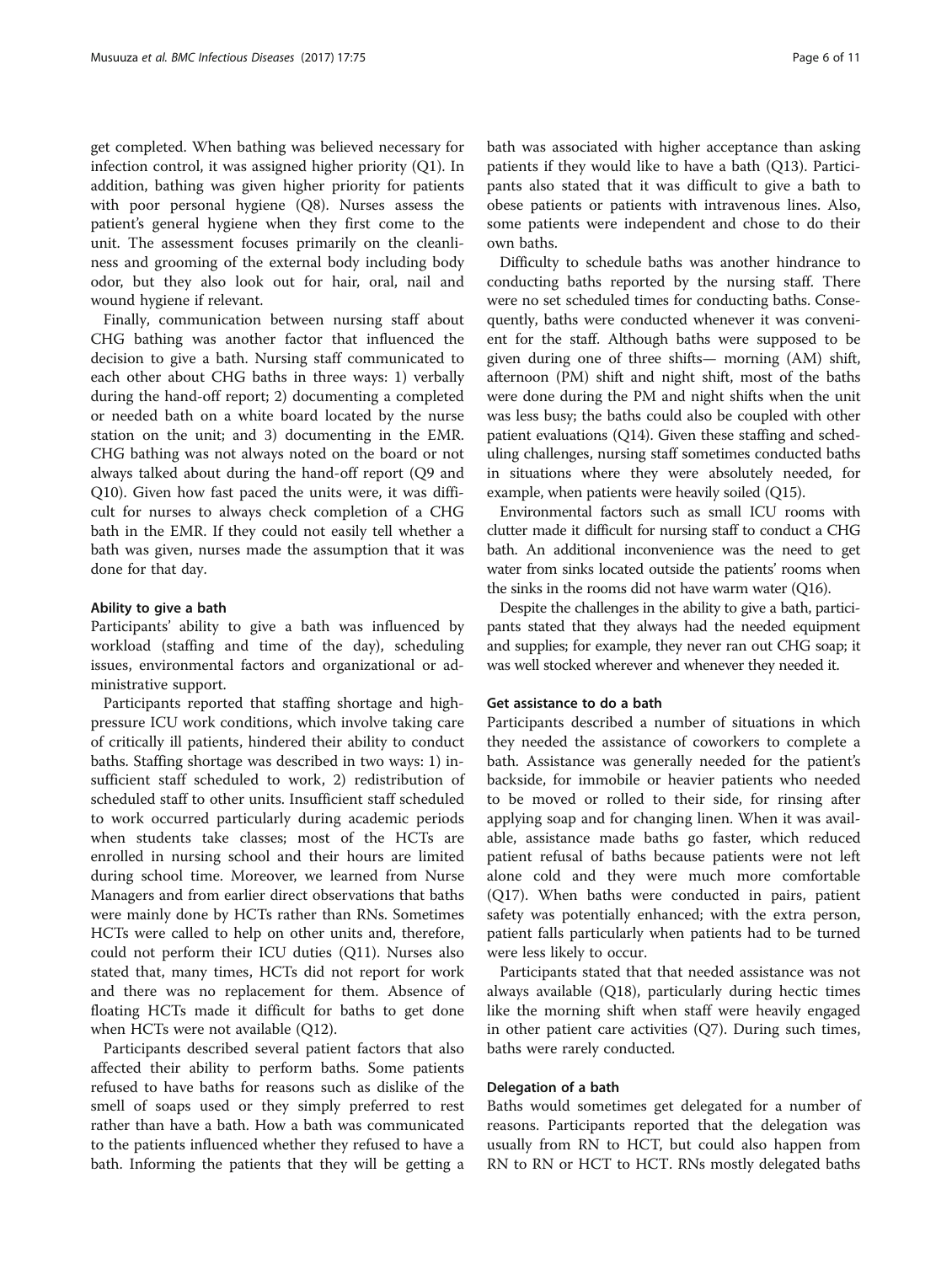get completed. When bathing was believed necessary for infection control, it was assigned higher priority (Q1). In addition, bathing was given higher priority for patients with poor personal hygiene (Q8). Nurses assess the patient's general hygiene when they first come to the unit. The assessment focuses primarily on the cleanliness and grooming of the external body including body odor, but they also look out for hair, oral, nail and wound hygiene if relevant.

Finally, communication between nursing staff about CHG bathing was another factor that influenced the decision to give a bath. Nursing staff communicated to each other about CHG baths in three ways: 1) verbally during the hand-off report; 2) documenting a completed or needed bath on a white board located by the nurse station on the unit; and 3) documenting in the EMR. CHG bathing was not always noted on the board or not always talked about during the hand-off report (Q9 and Q10). Given how fast paced the units were, it was difficult for nurses to always check completion of a CHG bath in the EMR. If they could not easily tell whether a bath was given, nurses made the assumption that it was done for that day.

#### Ability to give a bath

Participants' ability to give a bath was influenced by workload (staffing and time of the day), scheduling issues, environmental factors and organizational or administrative support.

Participants reported that staffing shortage and highpressure ICU work conditions, which involve taking care of critically ill patients, hindered their ability to conduct baths. Staffing shortage was described in two ways: 1) insufficient staff scheduled to work, 2) redistribution of scheduled staff to other units. Insufficient staff scheduled to work occurred particularly during academic periods when students take classes; most of the HCTs are enrolled in nursing school and their hours are limited during school time. Moreover, we learned from Nurse Managers and from earlier direct observations that baths were mainly done by HCTs rather than RNs. Sometimes HCTs were called to help on other units and, therefore, could not perform their ICU duties (Q11). Nurses also stated that, many times, HCTs did not report for work and there was no replacement for them. Absence of floating HCTs made it difficult for baths to get done when HCTs were not available (Q12).

Participants described several patient factors that also affected their ability to perform baths. Some patients refused to have baths for reasons such as dislike of the smell of soaps used or they simply preferred to rest rather than have a bath. How a bath was communicated to the patients influenced whether they refused to have a bath. Informing the patients that they will be getting a bath was associated with higher acceptance than asking patients if they would like to have a bath (Q13). Participants also stated that it was difficult to give a bath to obese patients or patients with intravenous lines. Also, some patients were independent and chose to do their own baths.

Difficulty to schedule baths was another hindrance to conducting baths reported by the nursing staff. There were no set scheduled times for conducting baths. Consequently, baths were conducted whenever it was convenient for the staff. Although baths were supposed to be given during one of three shifts— morning (AM) shift, afternoon (PM) shift and night shift, most of the baths were done during the PM and night shifts when the unit was less busy; the baths could also be coupled with other patient evaluations (Q14). Given these staffing and scheduling challenges, nursing staff sometimes conducted baths in situations where they were absolutely needed, for example, when patients were heavily soiled (Q15).

Environmental factors such as small ICU rooms with clutter made it difficult for nursing staff to conduct a CHG bath. An additional inconvenience was the need to get water from sinks located outside the patients' rooms when the sinks in the rooms did not have warm water (Q16).

Despite the challenges in the ability to give a bath, participants stated that they always had the needed equipment and supplies; for example, they never ran out CHG soap; it was well stocked wherever and whenever they needed it.

#### Get assistance to do a bath

Participants described a number of situations in which they needed the assistance of coworkers to complete a bath. Assistance was generally needed for the patient's backside, for immobile or heavier patients who needed to be moved or rolled to their side, for rinsing after applying soap and for changing linen. When it was available, assistance made baths go faster, which reduced patient refusal of baths because patients were not left alone cold and they were much more comfortable (Q17). When baths were conducted in pairs, patient safety was potentially enhanced; with the extra person, patient falls particularly when patients had to be turned were less likely to occur.

Participants stated that that needed assistance was not always available (Q18), particularly during hectic times like the morning shift when staff were heavily engaged in other patient care activities (Q7). During such times, baths were rarely conducted.

#### Delegation of a bath

Baths would sometimes get delegated for a number of reasons. Participants reported that the delegation was usually from RN to HCT, but could also happen from RN to RN or HCT to HCT. RNs mostly delegated baths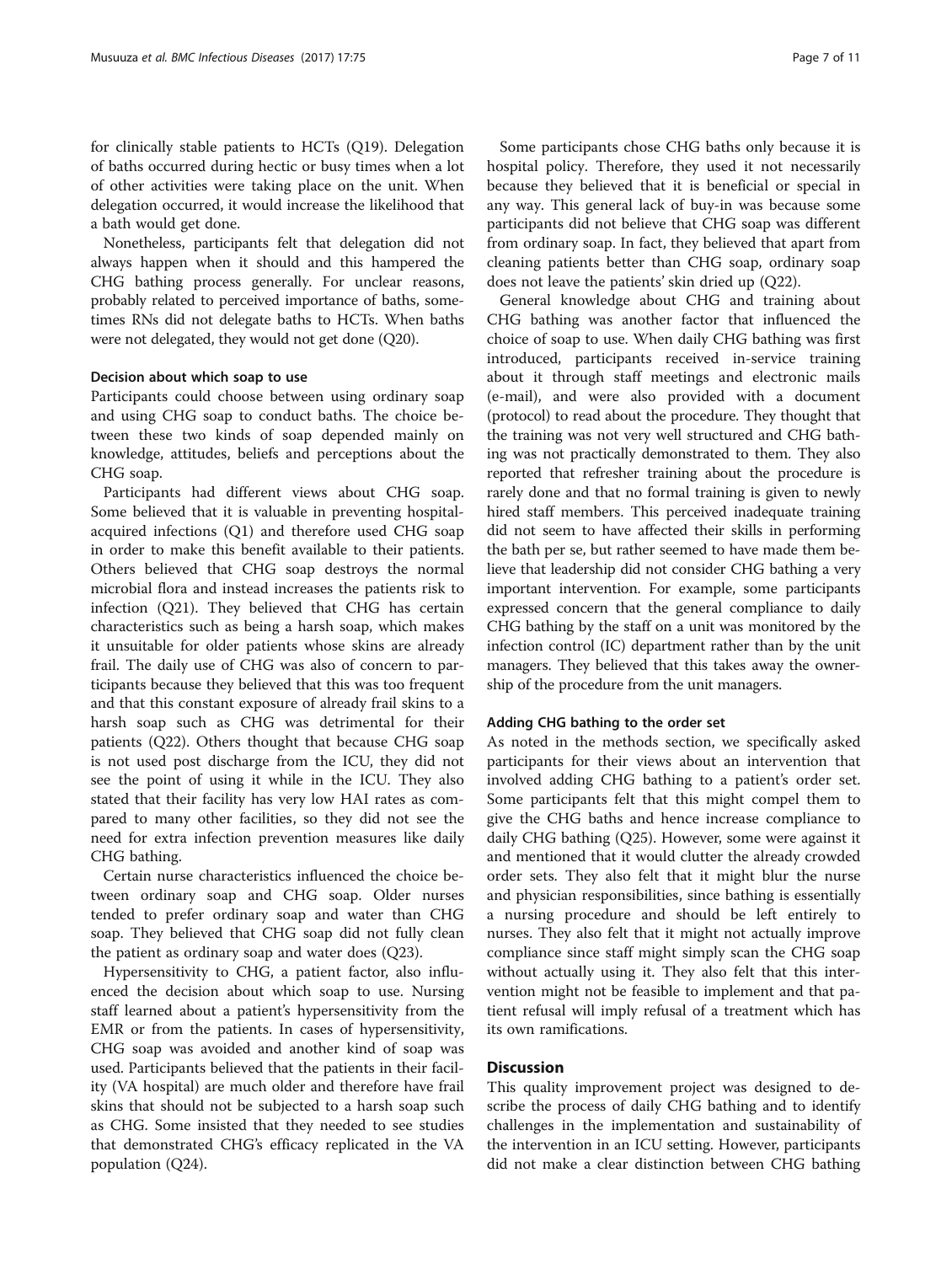for clinically stable patients to HCTs (Q19). Delegation of baths occurred during hectic or busy times when a lot of other activities were taking place on the unit. When delegation occurred, it would increase the likelihood that a bath would get done.

Nonetheless, participants felt that delegation did not always happen when it should and this hampered the CHG bathing process generally. For unclear reasons, probably related to perceived importance of baths, sometimes RNs did not delegate baths to HCTs. When baths were not delegated, they would not get done (Q20).

#### Decision about which soap to use

Participants could choose between using ordinary soap and using CHG soap to conduct baths. The choice between these two kinds of soap depended mainly on knowledge, attitudes, beliefs and perceptions about the CHG soap.

Participants had different views about CHG soap. Some believed that it is valuable in preventing hospitalacquired infections (Q1) and therefore used CHG soap in order to make this benefit available to their patients. Others believed that CHG soap destroys the normal microbial flora and instead increases the patients risk to infection (Q21). They believed that CHG has certain characteristics such as being a harsh soap, which makes it unsuitable for older patients whose skins are already frail. The daily use of CHG was also of concern to participants because they believed that this was too frequent and that this constant exposure of already frail skins to a harsh soap such as CHG was detrimental for their patients (Q22). Others thought that because CHG soap is not used post discharge from the ICU, they did not see the point of using it while in the ICU. They also stated that their facility has very low HAI rates as compared to many other facilities, so they did not see the need for extra infection prevention measures like daily CHG bathing.

Certain nurse characteristics influenced the choice between ordinary soap and CHG soap. Older nurses tended to prefer ordinary soap and water than CHG soap. They believed that CHG soap did not fully clean the patient as ordinary soap and water does (Q23).

Hypersensitivity to CHG, a patient factor, also influenced the decision about which soap to use. Nursing staff learned about a patient's hypersensitivity from the EMR or from the patients. In cases of hypersensitivity, CHG soap was avoided and another kind of soap was used. Participants believed that the patients in their facility (VA hospital) are much older and therefore have frail skins that should not be subjected to a harsh soap such as CHG. Some insisted that they needed to see studies that demonstrated CHG's efficacy replicated in the VA population (Q24).

Some participants chose CHG baths only because it is hospital policy. Therefore, they used it not necessarily because they believed that it is beneficial or special in any way. This general lack of buy-in was because some participants did not believe that CHG soap was different from ordinary soap. In fact, they believed that apart from cleaning patients better than CHG soap, ordinary soap does not leave the patients' skin dried up (Q22).

General knowledge about CHG and training about CHG bathing was another factor that influenced the choice of soap to use. When daily CHG bathing was first introduced, participants received in-service training about it through staff meetings and electronic mails (e-mail), and were also provided with a document (protocol) to read about the procedure. They thought that the training was not very well structured and CHG bathing was not practically demonstrated to them. They also reported that refresher training about the procedure is rarely done and that no formal training is given to newly hired staff members. This perceived inadequate training did not seem to have affected their skills in performing the bath per se, but rather seemed to have made them believe that leadership did not consider CHG bathing a very important intervention. For example, some participants expressed concern that the general compliance to daily CHG bathing by the staff on a unit was monitored by the infection control (IC) department rather than by the unit managers. They believed that this takes away the ownership of the procedure from the unit managers.

#### Adding CHG bathing to the order set

As noted in the methods section, we specifically asked participants for their views about an intervention that involved adding CHG bathing to a patient's order set. Some participants felt that this might compel them to give the CHG baths and hence increase compliance to daily CHG bathing (Q25). However, some were against it and mentioned that it would clutter the already crowded order sets. They also felt that it might blur the nurse and physician responsibilities, since bathing is essentially a nursing procedure and should be left entirely to nurses. They also felt that it might not actually improve compliance since staff might simply scan the CHG soap without actually using it. They also felt that this intervention might not be feasible to implement and that patient refusal will imply refusal of a treatment which has its own ramifications.

#### **Discussion**

This quality improvement project was designed to describe the process of daily CHG bathing and to identify challenges in the implementation and sustainability of the intervention in an ICU setting. However, participants did not make a clear distinction between CHG bathing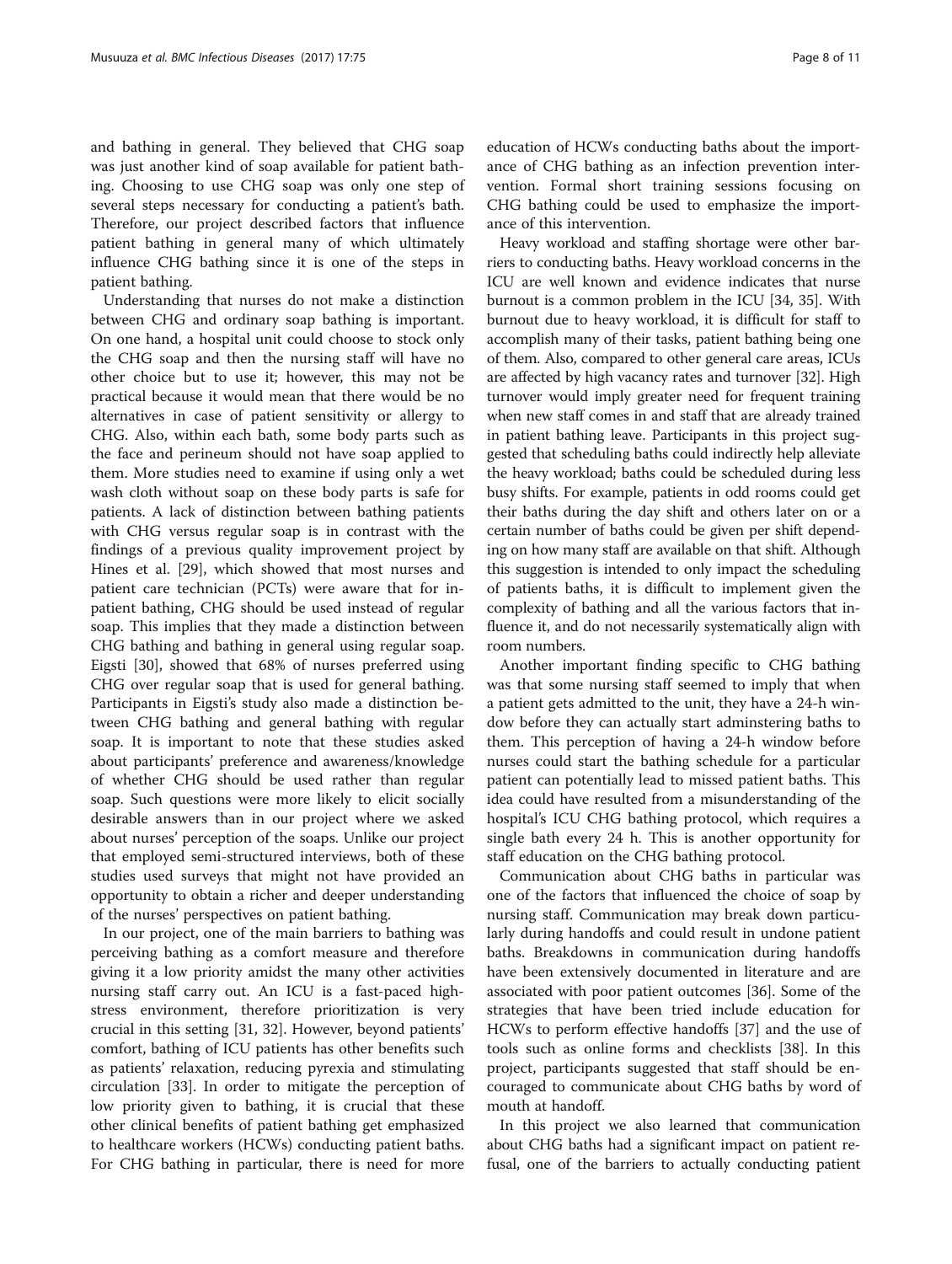and bathing in general. They believed that CHG soap was just another kind of soap available for patient bathing. Choosing to use CHG soap was only one step of several steps necessary for conducting a patient's bath. Therefore, our project described factors that influence patient bathing in general many of which ultimately influence CHG bathing since it is one of the steps in patient bathing.

Understanding that nurses do not make a distinction between CHG and ordinary soap bathing is important. On one hand, a hospital unit could choose to stock only the CHG soap and then the nursing staff will have no other choice but to use it; however, this may not be practical because it would mean that there would be no alternatives in case of patient sensitivity or allergy to CHG. Also, within each bath, some body parts such as the face and perineum should not have soap applied to them. More studies need to examine if using only a wet wash cloth without soap on these body parts is safe for patients. A lack of distinction between bathing patients with CHG versus regular soap is in contrast with the findings of a previous quality improvement project by Hines et al. [\[29](#page-10-0)], which showed that most nurses and patient care technician (PCTs) were aware that for inpatient bathing, CHG should be used instead of regular soap. This implies that they made a distinction between CHG bathing and bathing in general using regular soap. Eigsti [[30](#page-10-0)], showed that 68% of nurses preferred using CHG over regular soap that is used for general bathing. Participants in Eigsti's study also made a distinction between CHG bathing and general bathing with regular soap. It is important to note that these studies asked about participants' preference and awareness/knowledge of whether CHG should be used rather than regular soap. Such questions were more likely to elicit socially desirable answers than in our project where we asked about nurses' perception of the soaps. Unlike our project that employed semi-structured interviews, both of these studies used surveys that might not have provided an opportunity to obtain a richer and deeper understanding of the nurses' perspectives on patient bathing.

In our project, one of the main barriers to bathing was perceiving bathing as a comfort measure and therefore giving it a low priority amidst the many other activities nursing staff carry out. An ICU is a fast-paced highstress environment, therefore prioritization is very crucial in this setting [\[31](#page-10-0), [32](#page-10-0)]. However, beyond patients' comfort, bathing of ICU patients has other benefits such as patients' relaxation, reducing pyrexia and stimulating circulation [[33\]](#page-10-0). In order to mitigate the perception of low priority given to bathing, it is crucial that these other clinical benefits of patient bathing get emphasized to healthcare workers (HCWs) conducting patient baths. For CHG bathing in particular, there is need for more

education of HCWs conducting baths about the importance of CHG bathing as an infection prevention intervention. Formal short training sessions focusing on CHG bathing could be used to emphasize the importance of this intervention.

Heavy workload and staffing shortage were other barriers to conducting baths. Heavy workload concerns in the ICU are well known and evidence indicates that nurse burnout is a common problem in the ICU [[34](#page-10-0), [35](#page-10-0)]. With burnout due to heavy workload, it is difficult for staff to accomplish many of their tasks, patient bathing being one of them. Also, compared to other general care areas, ICUs are affected by high vacancy rates and turnover [\[32\]](#page-10-0). High turnover would imply greater need for frequent training when new staff comes in and staff that are already trained in patient bathing leave. Participants in this project suggested that scheduling baths could indirectly help alleviate the heavy workload; baths could be scheduled during less busy shifts. For example, patients in odd rooms could get their baths during the day shift and others later on or a certain number of baths could be given per shift depending on how many staff are available on that shift. Although this suggestion is intended to only impact the scheduling of patients baths, it is difficult to implement given the complexity of bathing and all the various factors that influence it, and do not necessarily systematically align with room numbers.

Another important finding specific to CHG bathing was that some nursing staff seemed to imply that when a patient gets admitted to the unit, they have a 24-h window before they can actually start adminstering baths to them. This perception of having a 24-h window before nurses could start the bathing schedule for a particular patient can potentially lead to missed patient baths. This idea could have resulted from a misunderstanding of the hospital's ICU CHG bathing protocol, which requires a single bath every 24 h. This is another opportunity for staff education on the CHG bathing protocol.

Communication about CHG baths in particular was one of the factors that influenced the choice of soap by nursing staff. Communication may break down particularly during handoffs and could result in undone patient baths. Breakdowns in communication during handoffs have been extensively documented in literature and are associated with poor patient outcomes [\[36\]](#page-10-0). Some of the strategies that have been tried include education for HCWs to perform effective handoffs [[37\]](#page-10-0) and the use of tools such as online forms and checklists [[38](#page-10-0)]. In this project, participants suggested that staff should be encouraged to communicate about CHG baths by word of mouth at handoff.

In this project we also learned that communication about CHG baths had a significant impact on patient refusal, one of the barriers to actually conducting patient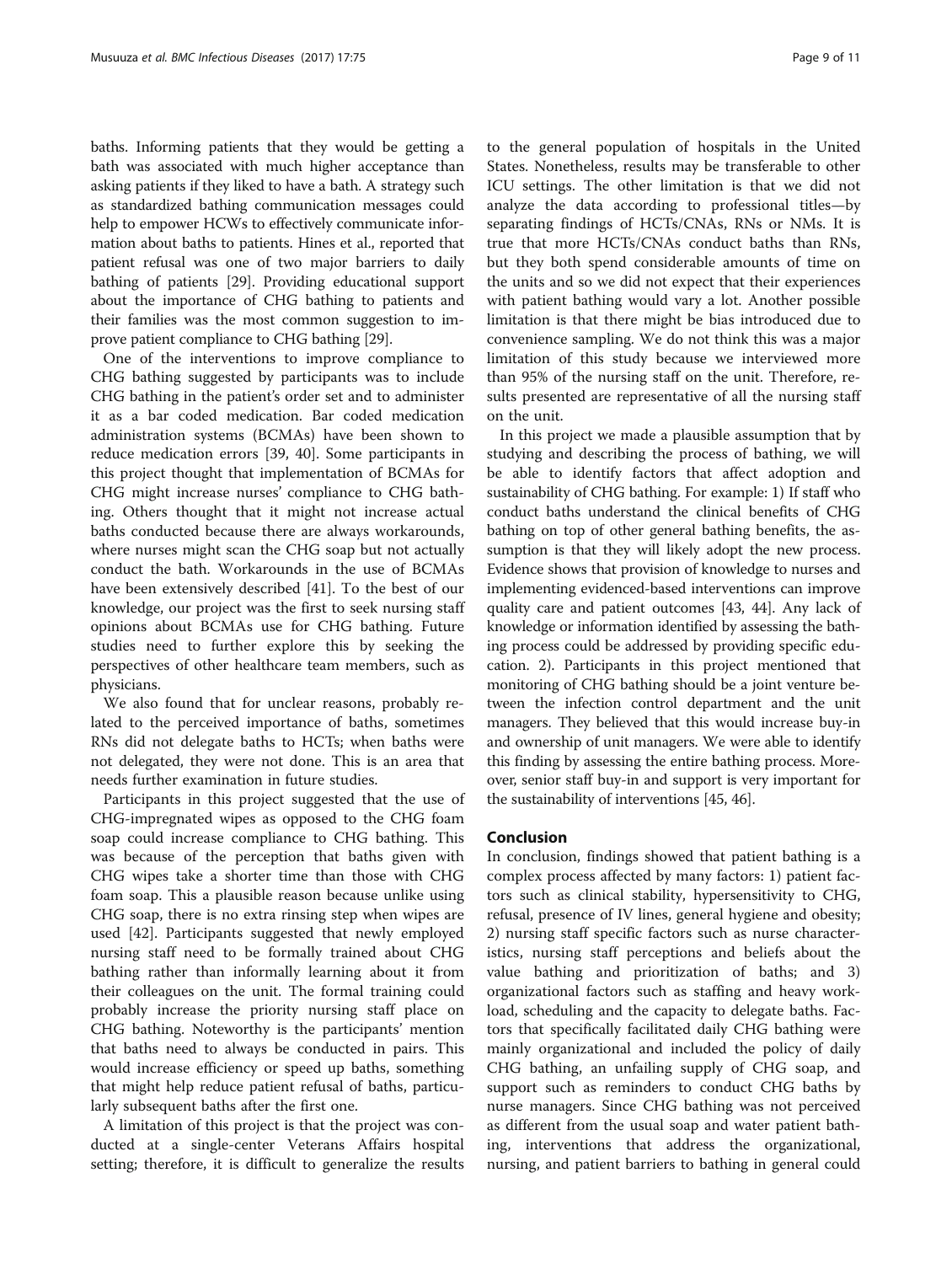baths. Informing patients that they would be getting a bath was associated with much higher acceptance than asking patients if they liked to have a bath. A strategy such as standardized bathing communication messages could help to empower HCWs to effectively communicate information about baths to patients. Hines et al., reported that patient refusal was one of two major barriers to daily bathing of patients [[29](#page-10-0)]. Providing educational support about the importance of CHG bathing to patients and their families was the most common suggestion to improve patient compliance to CHG bathing [[29](#page-10-0)].

One of the interventions to improve compliance to CHG bathing suggested by participants was to include CHG bathing in the patient's order set and to administer it as a bar coded medication. Bar coded medication administration systems (BCMAs) have been shown to reduce medication errors [[39, 40\]](#page-10-0). Some participants in this project thought that implementation of BCMAs for CHG might increase nurses' compliance to CHG bathing. Others thought that it might not increase actual baths conducted because there are always workarounds, where nurses might scan the CHG soap but not actually conduct the bath. Workarounds in the use of BCMAs have been extensively described [[41\]](#page-10-0). To the best of our knowledge, our project was the first to seek nursing staff opinions about BCMAs use for CHG bathing. Future studies need to further explore this by seeking the perspectives of other healthcare team members, such as physicians.

We also found that for unclear reasons, probably related to the perceived importance of baths, sometimes RNs did not delegate baths to HCTs; when baths were not delegated, they were not done. This is an area that needs further examination in future studies.

Participants in this project suggested that the use of CHG-impregnated wipes as opposed to the CHG foam soap could increase compliance to CHG bathing. This was because of the perception that baths given with CHG wipes take a shorter time than those with CHG foam soap. This a plausible reason because unlike using CHG soap, there is no extra rinsing step when wipes are used [[42](#page-10-0)]. Participants suggested that newly employed nursing staff need to be formally trained about CHG bathing rather than informally learning about it from their colleagues on the unit. The formal training could probably increase the priority nursing staff place on CHG bathing. Noteworthy is the participants' mention that baths need to always be conducted in pairs. This would increase efficiency or speed up baths, something that might help reduce patient refusal of baths, particularly subsequent baths after the first one.

A limitation of this project is that the project was conducted at a single-center Veterans Affairs hospital setting; therefore, it is difficult to generalize the results

to the general population of hospitals in the United States. Nonetheless, results may be transferable to other ICU settings. The other limitation is that we did not analyze the data according to professional titles—by separating findings of HCTs/CNAs, RNs or NMs. It is true that more HCTs/CNAs conduct baths than RNs, but they both spend considerable amounts of time on the units and so we did not expect that their experiences with patient bathing would vary a lot. Another possible limitation is that there might be bias introduced due to convenience sampling. We do not think this was a major limitation of this study because we interviewed more than 95% of the nursing staff on the unit. Therefore, results presented are representative of all the nursing staff on the unit.

In this project we made a plausible assumption that by studying and describing the process of bathing, we will be able to identify factors that affect adoption and sustainability of CHG bathing. For example: 1) If staff who conduct baths understand the clinical benefits of CHG bathing on top of other general bathing benefits, the assumption is that they will likely adopt the new process. Evidence shows that provision of knowledge to nurses and implementing evidenced-based interventions can improve quality care and patient outcomes [\[43, 44](#page-10-0)]. Any lack of knowledge or information identified by assessing the bathing process could be addressed by providing specific education. 2). Participants in this project mentioned that monitoring of CHG bathing should be a joint venture between the infection control department and the unit managers. They believed that this would increase buy-in and ownership of unit managers. We were able to identify this finding by assessing the entire bathing process. Moreover, senior staff buy-in and support is very important for the sustainability of interventions [\[45](#page-10-0), [46](#page-10-0)].

#### Conclusion

In conclusion, findings showed that patient bathing is a complex process affected by many factors: 1) patient factors such as clinical stability, hypersensitivity to CHG, refusal, presence of IV lines, general hygiene and obesity; 2) nursing staff specific factors such as nurse characteristics, nursing staff perceptions and beliefs about the value bathing and prioritization of baths; and 3) organizational factors such as staffing and heavy workload, scheduling and the capacity to delegate baths. Factors that specifically facilitated daily CHG bathing were mainly organizational and included the policy of daily CHG bathing, an unfailing supply of CHG soap, and support such as reminders to conduct CHG baths by nurse managers. Since CHG bathing was not perceived as different from the usual soap and water patient bathing, interventions that address the organizational, nursing, and patient barriers to bathing in general could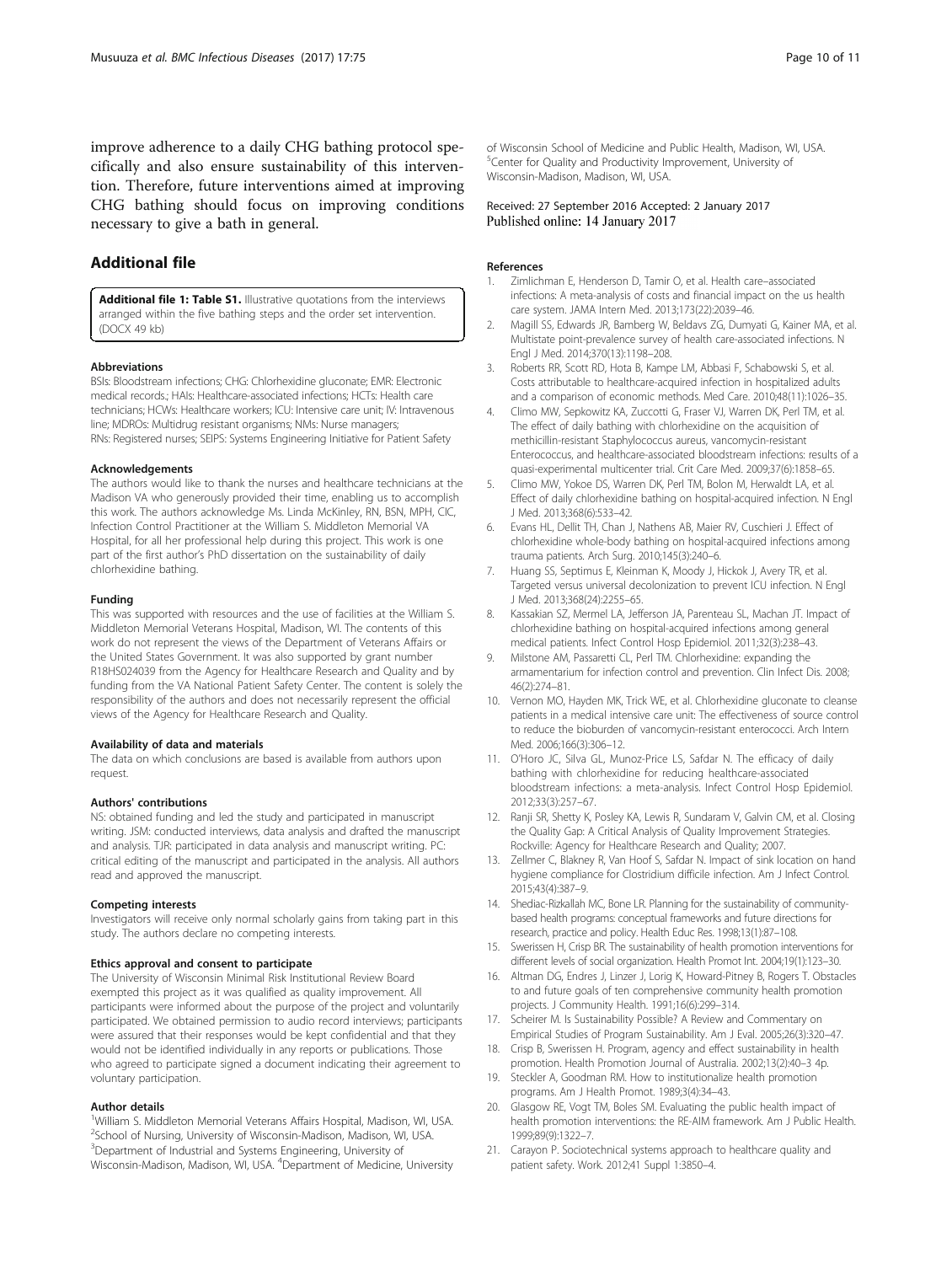<span id="page-9-0"></span>improve adherence to a daily CHG bathing protocol specifically and also ensure sustainability of this intervention. Therefore, future interventions aimed at improving CHG bathing should focus on improving conditions necessary to give a bath in general.

## Additional file

[Additional file 1: Table S1.](dx.doi.org/10.1186/s12879-017-2180-8) Illustrative quotations from the interviews arranged within the five bathing steps and the order set intervention. (DOCX 49 kb)

#### Abbreviations

BSIs: Bloodstream infections; CHG: Chlorhexidine gluconate; EMR: Electronic medical records.; HAIs: Healthcare-associated infections; HCTs: Health care technicians; HCWs: Healthcare workers; ICU: Intensive care unit; IV: Intravenous line; MDROs: Multidrug resistant organisms; NMs: Nurse managers; RNs: Registered nurses; SEIPS: Systems Engineering Initiative for Patient Safety

#### Acknowledgements

The authors would like to thank the nurses and healthcare technicians at the Madison VA who generously provided their time, enabling us to accomplish this work. The authors acknowledge Ms. Linda McKinley, RN, BSN, MPH, CIC, Infection Control Practitioner at the William S. Middleton Memorial VA Hospital, for all her professional help during this project. This work is one part of the first author's PhD dissertation on the sustainability of daily chlorhexidine bathing.

#### Funding

This was supported with resources and the use of facilities at the William S. Middleton Memorial Veterans Hospital, Madison, WI. The contents of this work do not represent the views of the Department of Veterans Affairs or the United States Government. It was also supported by grant number R18HS024039 from the Agency for Healthcare Research and Quality and by funding from the VA National Patient Safety Center. The content is solely the responsibility of the authors and does not necessarily represent the official views of the Agency for Healthcare Research and Quality.

#### Availability of data and materials

The data on which conclusions are based is available from authors upon request.

#### Authors' contributions

NS: obtained funding and led the study and participated in manuscript writing. JSM: conducted interviews, data analysis and drafted the manuscript and analysis. TJR: participated in data analysis and manuscript writing. PC: critical editing of the manuscript and participated in the analysis. All authors read and approved the manuscript.

#### Competing interests

Investigators will receive only normal scholarly gains from taking part in this study. The authors declare no competing interests.

#### Ethics approval and consent to participate

The University of Wisconsin Minimal Risk Institutional Review Board exempted this project as it was qualified as quality improvement. All participants were informed about the purpose of the project and voluntarily participated. We obtained permission to audio record interviews; participants were assured that their responses would be kept confidential and that they would not be identified individually in any reports or publications. Those who agreed to participate signed a document indicating their agreement to voluntary participation.

#### Author details

<sup>1</sup>William S. Middleton Memorial Veterans Affairs Hospital, Madison, WI, USA. <sup>2</sup>School of Nursing, University of Wisconsin-Madison, Madison, WI, USA. <sup>3</sup>Department of Industrial and Systems Engineering, University of Wisconsin-Madison, Madison, WI, USA. <sup>4</sup>Department of Medicine, University of Wisconsin School of Medicine and Public Health, Madison, WI, USA. 5 Center for Quality and Productivity Improvement, University of Wisconsin-Madison, Madison, WI, USA.

Received: 27 September 2016 Accepted: 2 January 2017 Published online: 14 January 2017

#### References

- Zimlichman E, Henderson D, Tamir O, et al. Health care–associated infections: A meta-analysis of costs and financial impact on the us health care system. JAMA Intern Med. 2013;173(22):2039–46.
- 2. Magill SS, Edwards JR, Bamberg W, Beldavs ZG, Dumyati G, Kainer MA, et al. Multistate point-prevalence survey of health care-associated infections. N Engl J Med. 2014;370(13):1198–208.
- 3. Roberts RR, Scott RD, Hota B, Kampe LM, Abbasi F, Schabowski S, et al. Costs attributable to healthcare-acquired infection in hospitalized adults and a comparison of economic methods. Med Care. 2010;48(11):1026–35.
- Climo MW, Sepkowitz KA, Zuccotti G, Fraser VJ, Warren DK, Perl TM, et al. The effect of daily bathing with chlorhexidine on the acquisition of methicillin-resistant Staphylococcus aureus, vancomycin-resistant Enterococcus, and healthcare-associated bloodstream infections: results of a quasi-experimental multicenter trial. Crit Care Med. 2009;37(6):1858–65.
- 5. Climo MW, Yokoe DS, Warren DK, Perl TM, Bolon M, Herwaldt LA, et al. Effect of daily chlorhexidine bathing on hospital-acquired infection. N Engl J Med. 2013;368(6):533–42.
- 6. Evans HL, Dellit TH, Chan J, Nathens AB, Maier RV, Cuschieri J. Effect of chlorhexidine whole-body bathing on hospital-acquired infections among trauma patients. Arch Surg. 2010;145(3):240–6.
- 7. Huang SS, Septimus E, Kleinman K, Moody J, Hickok J, Avery TR, et al. Targeted versus universal decolonization to prevent ICU infection. N Engl J Med. 2013;368(24):2255–65.
- 8. Kassakian SZ, Mermel LA, Jefferson JA, Parenteau SL, Machan JT. Impact of chlorhexidine bathing on hospital-acquired infections among general medical patients. Infect Control Hosp Epidemiol. 2011;32(3):238–43.
- 9. Milstone AM, Passaretti CL, Perl TM. Chlorhexidine: expanding the armamentarium for infection control and prevention. Clin Infect Dis. 2008; 46(2):274–81.
- 10. Vernon MO, Hayden MK, Trick WE, et al. Chlorhexidine gluconate to cleanse patients in a medical intensive care unit: The effectiveness of source control to reduce the bioburden of vancomycin-resistant enterococci. Arch Intern Med. 2006;166(3):306–12.
- 11. O'Horo JC, Silva GL, Munoz-Price LS, Safdar N. The efficacy of daily bathing with chlorhexidine for reducing healthcare-associated bloodstream infections: a meta-analysis. Infect Control Hosp Epidemiol. 2012;33(3):257–67.
- 12. Ranji SR, Shetty K, Posley KA, Lewis R, Sundaram V, Galvin CM, et al. Closing the Quality Gap: A Critical Analysis of Quality Improvement Strategies. Rockville: Agency for Healthcare Research and Quality; 2007.
- 13. Zellmer C, Blakney R, Van Hoof S, Safdar N. Impact of sink location on hand hygiene compliance for Clostridium difficile infection. Am J Infect Control. 2015;43(4):387–9.
- 14. Shediac-Rizkallah MC, Bone LR. Planning for the sustainability of communitybased health programs: conceptual frameworks and future directions for research, practice and policy. Health Educ Res. 1998;13(1):87–108.
- 15. Swerissen H, Crisp BR. The sustainability of health promotion interventions for different levels of social organization. Health Promot Int. 2004;19(1):123–30.
- 16. Altman DG, Endres J, Linzer J, Lorig K, Howard-Pitney B, Rogers T. Obstacles to and future goals of ten comprehensive community health promotion projects. J Community Health. 1991;16(6):299–314.
- 17. Scheirer M. Is Sustainability Possible? A Review and Commentary on Empirical Studies of Program Sustainability. Am J Eval. 2005;26(3):320–47.
- 18. Crisp B, Swerissen H. Program, agency and effect sustainability in health promotion. Health Promotion Journal of Australia. 2002;13(2):40–3 4p.
- 19. Steckler A, Goodman RM. How to institutionalize health promotion programs. Am J Health Promot. 1989;3(4):34–43.
- 20. Glasgow RE, Vogt TM, Boles SM. Evaluating the public health impact of health promotion interventions: the RE-AIM framework. Am J Public Health. 1999;89(9):1322–7.
- 21. Carayon P. Sociotechnical systems approach to healthcare quality and patient safety. Work. 2012;41 Suppl 1:3850–4.